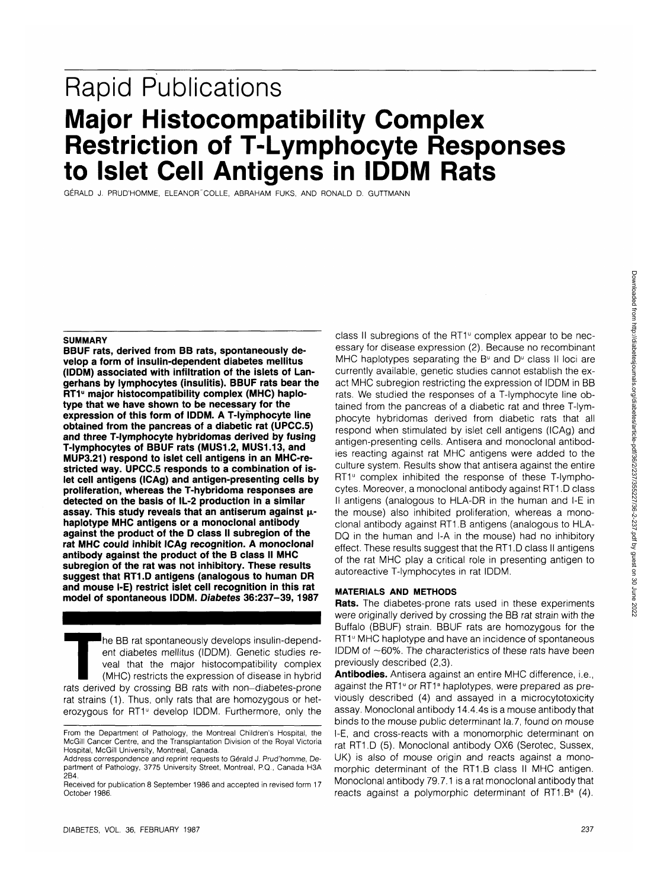# **Rapid Publications Major Histocompatibility Complex Restriction of T-Lymphocyte Responses to Islet Cell Antigens in IDDM Rats**

GERALD J. PRUD'HOMME, ELEANOR "COLLE, ABRAHAM FUKS, AND RONALD D. GUTTMANN

#### **SUMMARY**

**BBUF rats, derived from BB rats, spontaneously develop a form of insulin-dependent diabetes mellitus (IDDM) associated with infiltration of the islets of Langerhans by lymphocytes (insulitis). BBUF rats bear the** RT1<sup>u</sup> major histocompatibility complex (MHC) haplo**type that we have shown to be necessary for the expression of this form of IDDM. A T-lymphocyte line obtained from the pancreas of a diabetic rat (UPCC.5) and three T-lymphocyte hybridomas derived by fusing T-lymphocytes of BBUF rats (MUS1.2, MUS1.13, and MUP3.21) respond to islet cell antigens in an MHC-restricted way. UPCC.5 responds to a combination of islet cell antigens (ICAg) and antigen-presenting cells by proliferation, whereas the T-hybridoma responses are detected on the basis of IL-2 production in a similar** assay. This study reveals that an antiserum against  $\mu$ **haplotype MHC antigens or a monoclonal antibody against the product of the D class II subregion of the rat MHC could inhibit ICAg recognition. A monoclonal antibody against the product of the B class II MHC subregion of the rat was not inhibitory. These results suggest that RT1.D antigens (analogous to human DR and mouse I-E) restrict islet cell recognition in this rat model of spontaneous IDDM. Diabetes 36:237-39,1987**

The BB rat spontaneously develops insulin-dependent diabetes mellitus (IDDM). Genetic studies reveal that the major histocompatibility complex (MHC) restricts the expression of disease in hybrid rats derived by crossing BB ent diabetes mellitus (IDDM). Genetic studies reveal that the major histocompatibility complex (MHC) restricts the expression of disease in hybrid rat strains (1). Thus, only rats that are homozygous or heterozygous for RT1<sup>°</sup> develop IDDM. Furthermore, only the

class II subregions of the RT1<sup>u</sup> complex appear to be necessary for disease expression (2). Because no recombinant MHC haplotypes separating the B $u$  and D $u$  class II loci are currently available, genetic studies cannot establish the exact MHC subregion restricting the expression of IDDM in BB rats. We studied the responses of a T-lymphocyte line obtained from the pancreas of a diabetic rat and three T-lymphocyte hybridomas derived from diabetic rats that all respond when stimulated by islet cell antigens (ICAg) and antigen-presenting cells. Antisera and monoclonal antibodies reacting against rat MHC antigens were added to the culture system. Results show that antisera against the entire RT1<sup>u</sup> complex inhibited the response of these T-lymphocytes. Moreover, a monoclonal antibody against RT1 .D class II antigens (analogous to HLA-DR in the human and I-E in the mouse) also inhibited proliferation, whereas a monoclonal antibody against RT1.B antigens (analogous to HLA-DQ in the human and I-A in the mouse) had no inhibitory effect. These results suggest that the RT1 .D class II antigens of the rat MHC play a critical role in presenting antigen to autoreactive T-lymphocytes in rat IDDM.

#### **MATERIALS AND METHODS**

**Rats.** The diabetes-prone rats used in these experiments were originally derived by crossing the BB rat strain with the Buffalo (BBUF) strain. BBUF rats are homozygous for the RT1<sup>°</sup> MHC haplotype and have an incidence of spontaneous IDDM of  $~60\%$ . The characteristics of these rats have been previously described (2,3).

**Antibodies.** Antisera against an entire MHC difference, i.e., against the RT1<sup>°</sup> or RT1<sup>ª</sup> haplotypes, were prepared as previously described (4) and assayed in a microcytotoxicity assay. Monoclonal antibody 14.4.4s is a mouse antibody that binds to the mouse public determinant la.7, found on mouse I-E, and cross-reacts with a monomorphic determinant on rat RT1.D (5). Monoclonal antibody 0X6 (Serotec, Sussex, UK) is also of mouse origin and reacts against a monomorphic determinant of the RT1.B class II MHC antigen. Monoclonal antibody 79.7.1 is a rat monoclonal antibody that reacts against a polymorphic determinant of RT1. B<sup>a</sup> (4).

From the Department of Pathology, the Montreal Children's Hospital, the McGill Cancer Centre, and the Transplantation Division of the Royal Victoria Hospital, McGill University, Montreal, Canada.

Address correspondence and reprint requests to Gérald J. Prud'homme, Department of Pathology, 3775 University Street, Montreal, P.Q., Canada H3A 2B4.

Received for publication 8 September 1986 and accepted in revised form 17 October 1986.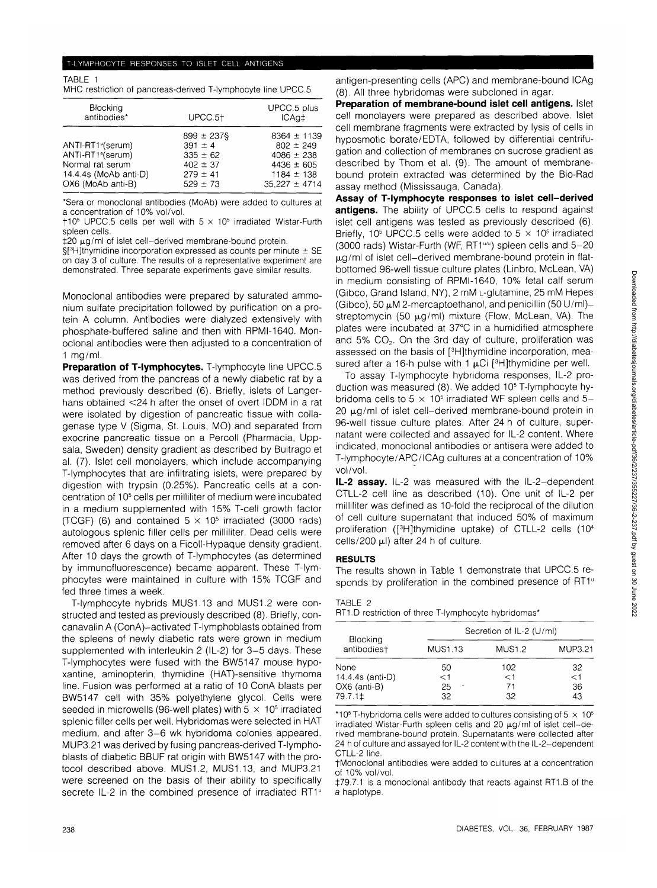### T-LYMPHOCYTE RESPONSES TO ISLET CELL ANTIGENS

TABLE 1 MHC restriction of pancreas-derived T-lymphocyte line UPCC.5

| <b>Blocking</b><br>antibodies*                                                                                                   | UPCC.5 <sup>+</sup>                                                                            | UPCC.5 plus<br>ICAg‡                                                                                        |
|----------------------------------------------------------------------------------------------------------------------------------|------------------------------------------------------------------------------------------------|-------------------------------------------------------------------------------------------------------------|
| ANTI-RT1 <sup>v</sup> (serum)<br>ANTI-RT1 <sup>ª</sup> (serum)<br>Normal rat serum<br>14.4.4s (MoAb anti-D)<br>OX6 (MoAb anti-B) | $899 \pm 237$ §<br>$391 \pm 4$<br>$335 \pm 62$<br>$402 \pm 37$<br>$279 \pm 41$<br>$529 \pm 73$ | $8364 \pm 1139$<br>$802 \pm 249$<br>$4086 \pm 238$<br>$4436 \pm 605$<br>$1184 \pm 138$<br>$35,227 \pm 4714$ |

\*Sera or monoclonal antibodies (MoAb) were added to cultures at a concentration of 10% vol/vol.

 $\dagger$ 10<sup>5</sup> UPCC.5 cells per well with 5  $\times$  10<sup>5</sup> irradiated Wistar-Furth spleen cells.

 $±20 \text{ µg/ml}$  of islet cell-derived membrane-bound protein.

§[3 H]thymidine incorporation expressed as counts per minute ± SE on day 3 of culture. The results of a representative experiment are demonstrated. Three separate experiments gave similar results.

Monoclonal antibodies were prepared by saturated ammonium sulfate precipitation followed by purification on a protein A column. Antibodies were dialyzed extensively with phosphate-buffered saline and then with RPMI-1640. Monoclonal antibodies were then adjusted to a concentration of 1 mg/ml.

**Preparation of T-lymphocytes.** T-lymphocyte line UPCC.5 was derived from the pancreas of a newly diabetic rat by a method previously described (6). Briefly, islets of Langerhans obtained <24 h after the onset of overt IDDM in a rat were isolated by digestion of pancreatic tissue with collagenase type V (Sigma, St. Louis, MO) and separated from exocrine pancreatic tissue on a Percoll (Pharmacia, Uppsala, Sweden) density gradient as described by Buitrago et al. (7). Islet cell monolayers, which include accompanying T-lymphocytes that are infiltrating islets, were prepared by digestion with trypsin (0.25%). Pancreatic cells at a concentration of 10<sup>5</sup> cells per milliliter of medium were incubated in a medium supplemented with 15% T-cell growth factor (TCGF) (6) and contained  $5 \times 10^5$  irradiated (3000 rads) autologous splenic filler cells per milliliter. Dead cells were removed after 6 days on a Ficoll-Hypaque density gradient. After 10 days the growth of T-lymphocytes (as determined by immunofluorescence) became apparent. These T-lymphocytes were maintained in culture with 15% TCGF and fed three times a week.

T-lymphocyte hybrids MUS1.13 and MUS1.2 were constructed and tested as previously described (8). Briefly, concanavalin A (ConA)-activated T-lymphoblasts obtained from the spleens of newly diabetic rats were grown in medium supplemented with interleukin 2 (IL-2) for 3-5 days. These T-lymphocytes were fused with the BW5147 mouse hypoxantine, aminopterin, thymidine (HAT)-sensitive thymoma line. Fusion was performed at a ratio of 10 ConA blasts per BW5147 cell with 35% polyethylene glycol. Cells were seeded in microwells (96-well plates) with  $5 \times 10^5$  irradiated splenic filler cells per well. Hybridomas were selected in HAT medium, and after 3-6 wk hybridoma colonies appeared. MUP3.21 was derived by fusing pancreas-derived T-lymphoblasts of diabetic BBUF rat origin with BW5147 with the protocol described above. MUS1.2, MUS1.13, and MUP3.21 were screened on the basis of their ability to specifically secrete IL-2 in the combined presence of irradiated RT1<sup>u</sup>

antigen-presenting cells (APC) and membrane-bound ICAg (8). All three hybridomas were subcloned in agar.

**Preparation of membrane-bound islet cell antigens.** Islet cell monolayers were prepared as described above. Islet cell membrane fragments were extracted by lysis of cells in hyposmotic borate/EDTA, followed by differential centrifugation and collection of membranes on sucrose gradient as described by Thom et al. (9). The amount of membranebound protein extracted was determined by the Bio-Rad assay method (Mississauga, Canada).

**Assay of T-lymphocyte responses to islet cell-derived antigens.** The ability of UPCC.5 cells to respond against islet cell antigens was tested as previously described (6). Briefly, 10<sup>5</sup> UPCC.5 cells were added to 5  $\times$  10<sup>5</sup> irradiated (3000 rads) Wistar-Furth (WF,  $RT1^{u_0}$ ) spleen cells and  $5-20$  $\mu$ g/ml of islet cell-derived membrane-bound protein in flatbottomed 96-well tissue culture plates (Linbro, McLean, VA) in medium consisting of RPMI-1640, 10% fetal calf serum (Gibco, Grand Island, NY), 2 mM L-glutamine, 25 mM Hepes (Gibco), 50  $\mu$ M 2-mercaptoethanol, and penicillin (50 U/ml)streptomycin (50  $\mu$ g/ml) mixture (Flow, McLean, VA). The plates were incubated at 37°C in a humidified atmosphere and  $5\%$  CO<sub>2</sub>. On the 3rd day of culture, proliferation was assessed on the basis of [<sup>3</sup>H]thymidine incorporation, measured after a 16-h pulse with 1  $\mu$ Ci [<sup>3</sup>H]thymidine per well.

To assay T-lymphocyte hybridoma responses, IL-2 production was measured (8). We added 10<sup>5</sup> T-lymphocyte hybridoma cells to 5  $\times$  10<sup>5</sup> irradiated WF spleen cells and 5- $20 \mu g/ml$  of islet cell-derived membrane-bound protein in 96-well tissue culture plates. After 24 h of culture, supernatant were collected and assayed for IL-2 content. Where indicated, monoclonal antibodies or antisera were added to T-lymphocyte/APC/ICAg cultures at a concentration of 10% vol/vol.

**IL-2 assay.** IL-2 was measured with the IL-2-dependent CTLL-2 cell line as described (10). One unit of IL-2 per milliliter was defined as 10-fold the reciprocal of the dilution of cell culture supernatant that induced 50% of maximum proliferation ([<sup>3</sup> H]thymidine uptake) of CTLL-2 cells (104 cells/200  $\mu$ l) after 24 h of culture.

## **RESULTS**

The results shown in Table 1 demonstrate that UPCC.5 responds by proliferation in the combined presence of RT1<sup>u</sup>

## TABLE 2

RT1.D restriction of three T-lymphocyte hybridomas\*

|                                             | Secretion of IL-2 (U/ml) |                   |                      |  |
|---------------------------------------------|--------------------------|-------------------|----------------------|--|
| Blocking<br>antibodiest                     | <b>MUS1.13</b>           | <b>MUS1.2</b>     | MUP3.21              |  |
| None                                        | 50                       | 102               | 32                   |  |
| 14.4.4s (anti-D)<br>OX6 (anti-B)<br>79.7.1‡ | $<$ 1<br>25<br>32        | $<$ 1<br>71<br>32 | $\leq$ 1<br>36<br>43 |  |

\*10<sup>5</sup> T-hybridoma cells were added to cultures consisting of 5  $\times$  10<sup>5</sup> irradiated Wistar-Furth spleen cells and 20  $\mu$ g/ml of islet cell-derived membrane-bound protein. Supernatants were collected after 24 h of culture and assayed for IL-2 content with the IL-2-dependent CTLL-2 line.

fMonoclonal antibodies were added to cultures at a concentration of 10% vol/vol.

£79.7.1 is a monoclonal antibody that reacts against RT1.B of the a haplotype.